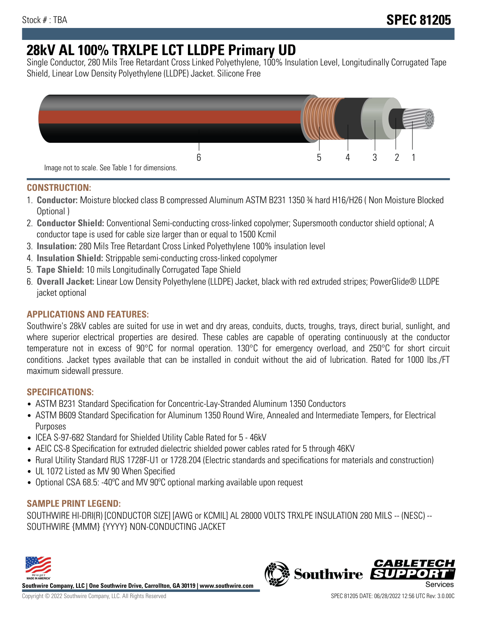# **28kV AL 100% TRXLPE LCT LLDPE Primary UD**

Single Conductor, 280 Mils Tree Retardant Cross Linked Polyethylene, 100% Insulation Level, Longitudinally Corrugated Tape Shield, Linear Low Density Polyethylene (LLDPE) Jacket. Silicone Free



## **CONSTRUCTION:**

- 1. **Conductor:** Moisture blocked class B compressed Aluminum ASTM B231 1350 ¾ hard H16/H26 ( Non Moisture Blocked Optional )
- 2. **Conductor Shield:** Conventional Semi-conducting cross-linked copolymer; Supersmooth conductor shield optional; A conductor tape is used for cable size larger than or equal to 1500 Kcmil
- 3. **Insulation:** 280 Mils Tree Retardant Cross Linked Polyethylene 100% insulation level
- 4. **Insulation Shield:** Strippable semi-conducting cross-linked copolymer
- 5. **Tape Shield:** 10 mils Longitudinally Corrugated Tape Shield
- 6. **Overall Jacket:** Linear Low Density Polyethylene (LLDPE) Jacket, black with red extruded stripes; PowerGlide® LLDPE jacket optional

## **APPLICATIONS AND FEATURES:**

Southwire's 28kV cables are suited for use in wet and dry areas, conduits, ducts, troughs, trays, direct burial, sunlight, and where superior electrical properties are desired. These cables are capable of operating continuously at the conductor temperature not in excess of 90°C for normal operation. 130°C for emergency overload, and 250°C for short circuit conditions. Jacket types available that can be installed in conduit without the aid of lubrication. Rated for 1000 lbs./FT maximum sidewall pressure.

### **SPECIFICATIONS:**

- ASTM B231 Standard Specification for Concentric-Lay-Stranded Aluminum 1350 Conductors
- ASTM B609 Standard Specification for Aluminum 1350 Round Wire, Annealed and Intermediate Tempers, for Electrical Purposes
- ICEA S-97-682 Standard for Shielded Utility Cable Rated for 5 46kV
- AEIC CS-8 Specification for extruded dielectric shielded power cables rated for 5 through 46KV
- Rural Utility Standard RUS 1728F-U1 or 1728.204 (Electric standards and specifications for materials and construction)
- UL 1072 Listed as MV 90 When Specified
- Optional CSA 68.5: -40°C and MV 90°C optional marking available upon request

### **SAMPLE PRINT LEGEND:**

SOUTHWIRE HI-DRI(R) [CONDUCTOR SIZE] [AWG or KCMIL] AL 28000 VOLTS TRXLPE INSULATION 280 MILS -- (NESC) -- SOUTHWIRE {MMM} {YYYY} NON-CONDUCTING JACKET



**Southwire Company, LLC | One Southwire Drive, Carrollton, GA 30119 | www.southwire.com**